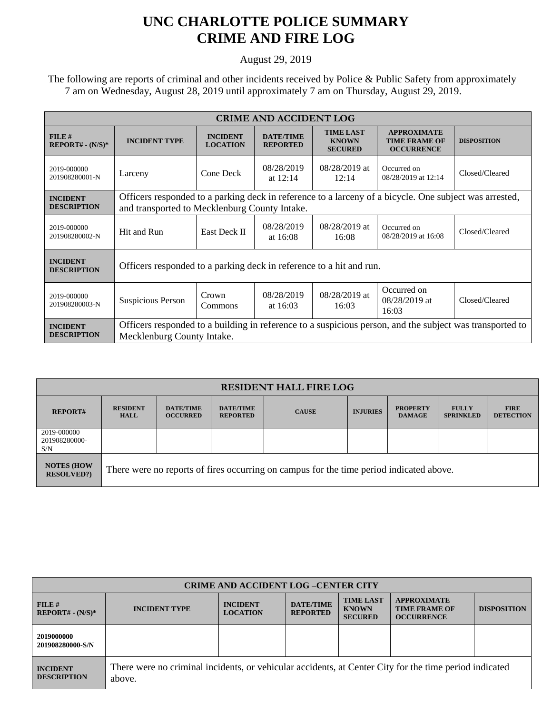## **UNC CHARLOTTE POLICE SUMMARY CRIME AND FIRE LOG**

August 29, 2019

 The following are reports of criminal and other incidents received by Police & Public Safety from approximately 7 am on Wednesday, August 28, 2019 until approximately 7 am on Thursday, August 29, 2019.

| <b>CRIME AND ACCIDENT LOG</b>         |                                                                                                                                                         |                                    |                                     |                                                    |                                                                 |                    |  |
|---------------------------------------|---------------------------------------------------------------------------------------------------------------------------------------------------------|------------------------------------|-------------------------------------|----------------------------------------------------|-----------------------------------------------------------------|--------------------|--|
| $FILE$ #<br>$REPORT# - (N/S)*$        | <b>INCIDENT TYPE</b>                                                                                                                                    | <b>INCIDENT</b><br><b>LOCATION</b> | <b>DATE/TIME</b><br><b>REPORTED</b> | <b>TIME LAST</b><br><b>KNOWN</b><br><b>SECURED</b> | <b>APPROXIMATE</b><br><b>TIME FRAME OF</b><br><b>OCCURRENCE</b> | <b>DISPOSITION</b> |  |
| 2019-000000<br>201908280001-N         | Larceny                                                                                                                                                 | Cone Deck                          | 08/28/2019<br>at $12:14$            | $08/28/2019$ at<br>12:14                           | Occurred on<br>08/28/2019 at 12:14                              | Closed/Cleared     |  |
| <b>INCIDENT</b><br><b>DESCRIPTION</b> | Officers responded to a parking deck in reference to a larceny of a bicycle. One subject was arrested,<br>and transported to Mecklenburg County Intake. |                                    |                                     |                                                    |                                                                 |                    |  |
| 2019-000000<br>201908280002-N         | Hit and Run                                                                                                                                             | <b>East Deck II</b>                | 08/28/2019<br>at $16:08$            | 08/28/2019 at<br>16:08                             | Occurred on<br>08/28/2019 at 16:08                              | Closed/Cleared     |  |
| <b>INCIDENT</b><br><b>DESCRIPTION</b> | Officers responded to a parking deck in reference to a hit and run.                                                                                     |                                    |                                     |                                                    |                                                                 |                    |  |
| 2019-000000<br>201908280003-N         | <b>Suspicious Person</b>                                                                                                                                | Crown<br>Commons                   | 08/28/2019<br>at $16:03$            | 08/28/2019 at<br>16:03                             | Occurred on<br>$08/28/2019$ at<br>16:03                         | Closed/Cleared     |  |
| <b>INCIDENT</b><br><b>DESCRIPTION</b> | Officers responded to a building in reference to a suspicious person, and the subject was transported to<br>Mecklenburg County Intake.                  |                                    |                                     |                                                    |                                                                 |                    |  |

| <b>RESIDENT HALL FIRE LOG</b>           |                                                                                         |                                     |                                     |              |                 |                                  |                                  |                                 |
|-----------------------------------------|-----------------------------------------------------------------------------------------|-------------------------------------|-------------------------------------|--------------|-----------------|----------------------------------|----------------------------------|---------------------------------|
| <b>REPORT#</b>                          | <b>RESIDENT</b><br><b>HALL</b>                                                          | <b>DATE/TIME</b><br><b>OCCURRED</b> | <b>DATE/TIME</b><br><b>REPORTED</b> | <b>CAUSE</b> | <b>INJURIES</b> | <b>PROPERTY</b><br><b>DAMAGE</b> | <b>FULLY</b><br><b>SPRINKLED</b> | <b>FIRE</b><br><b>DETECTION</b> |
| 2019-000000<br>201908280000-<br>S/N     |                                                                                         |                                     |                                     |              |                 |                                  |                                  |                                 |
| <b>NOTES (HOW)</b><br><b>RESOLVED?)</b> | There were no reports of fires occurring on campus for the time period indicated above. |                                     |                                     |              |                 |                                  |                                  |                                 |

| <b>CRIME AND ACCIDENT LOG-CENTER CITY</b> |                                                                                                                  |                                    |                                     |                                                    |                                                                 |                    |  |
|-------------------------------------------|------------------------------------------------------------------------------------------------------------------|------------------------------------|-------------------------------------|----------------------------------------------------|-----------------------------------------------------------------|--------------------|--|
| FILE#<br>$REPORT# - (N/S)*$               | <b>INCIDENT TYPE</b>                                                                                             | <b>INCIDENT</b><br><b>LOCATION</b> | <b>DATE/TIME</b><br><b>REPORTED</b> | <b>TIME LAST</b><br><b>KNOWN</b><br><b>SECURED</b> | <b>APPROXIMATE</b><br><b>TIME FRAME OF</b><br><b>OCCURRENCE</b> | <b>DISPOSITION</b> |  |
| 2019000000<br>201908280000-S/N            |                                                                                                                  |                                    |                                     |                                                    |                                                                 |                    |  |
| <b>INCIDENT</b><br><b>DESCRIPTION</b>     | There were no criminal incidents, or vehicular accidents, at Center City for the time period indicated<br>above. |                                    |                                     |                                                    |                                                                 |                    |  |